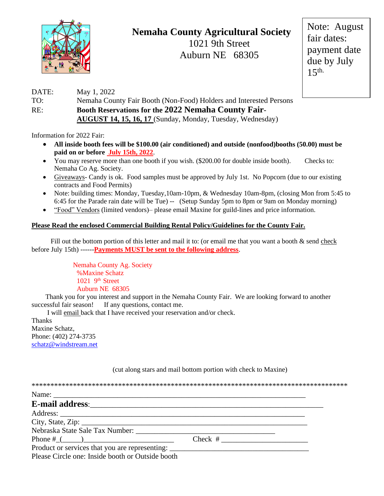

## **Nemaha County Agricultural Society**

1021 9th Street Auburn NE 68305

Note: August fair dates: payment date due by July  $15<sup>th</sup>$ .

## DATE: May 1, 2022 TO: Nemaha County Fair Booth (Non-Food) Holders and Interested Persons RE: **Booth Reservations for the 2022 Nemaha County Fair- AUGUST 14, 15, 16, 17** (Sunday, Monday, Tuesday, Wednesday)

Information for 2022 Fair:

- **All inside booth fees will be \$100.00 (air conditioned) and outside (nonfood)booths (50.00) must be paid on or before July 15th, 2022**.
- You may reserve more than one booth if you wish. (\$200.00 for double inside booth). Checks to: Nemaha Co Ag. Society.
- Giveaways- Candy is ok. Food samples must be approved by July 1st. No Popcorn (due to our existing contracts and Food Permits)
- Note: building times: Monday, Tuesday, 10am-10pm, & Wednesday 10am-8pm, (closing Mon from 5:45 to 6:45 for the Parade rain date will be Tue) -- (Setup Sunday 5pm to 8pm or 9am on Monday morning)
- "Food" Vendors (limited vendors)– please email Maxine for guild-lines and price information.

## **Please Read the enclosed Commercial Building Rental Policy/Guidelines for the County Fair.**

Fill out the bottom portion of this letter and mail it to: (or email me that you want a booth & send check before July 15th) ------**Payments MUST be sent to the following address**.

> Nemaha County Ag. Society %Maxine Schatz  $1021$  9<sup>th</sup> Street Auburn NE 68305

 Thank you for you interest and support in the Nemaha County Fair. We are looking forward to another successful fair season! If any questions, contact me.

 I will email back that I have received your reservation and/or check. Thanks Maxine Schatz, Phone: (402) 274-3735 [schatz@windstream.net](mailto:schatz@windstream.net)

| Nebraska State Sale Tax Number:                  |  |
|--------------------------------------------------|--|
|                                                  |  |
|                                                  |  |
| Please Circle one: Inside booth or Outside booth |  |